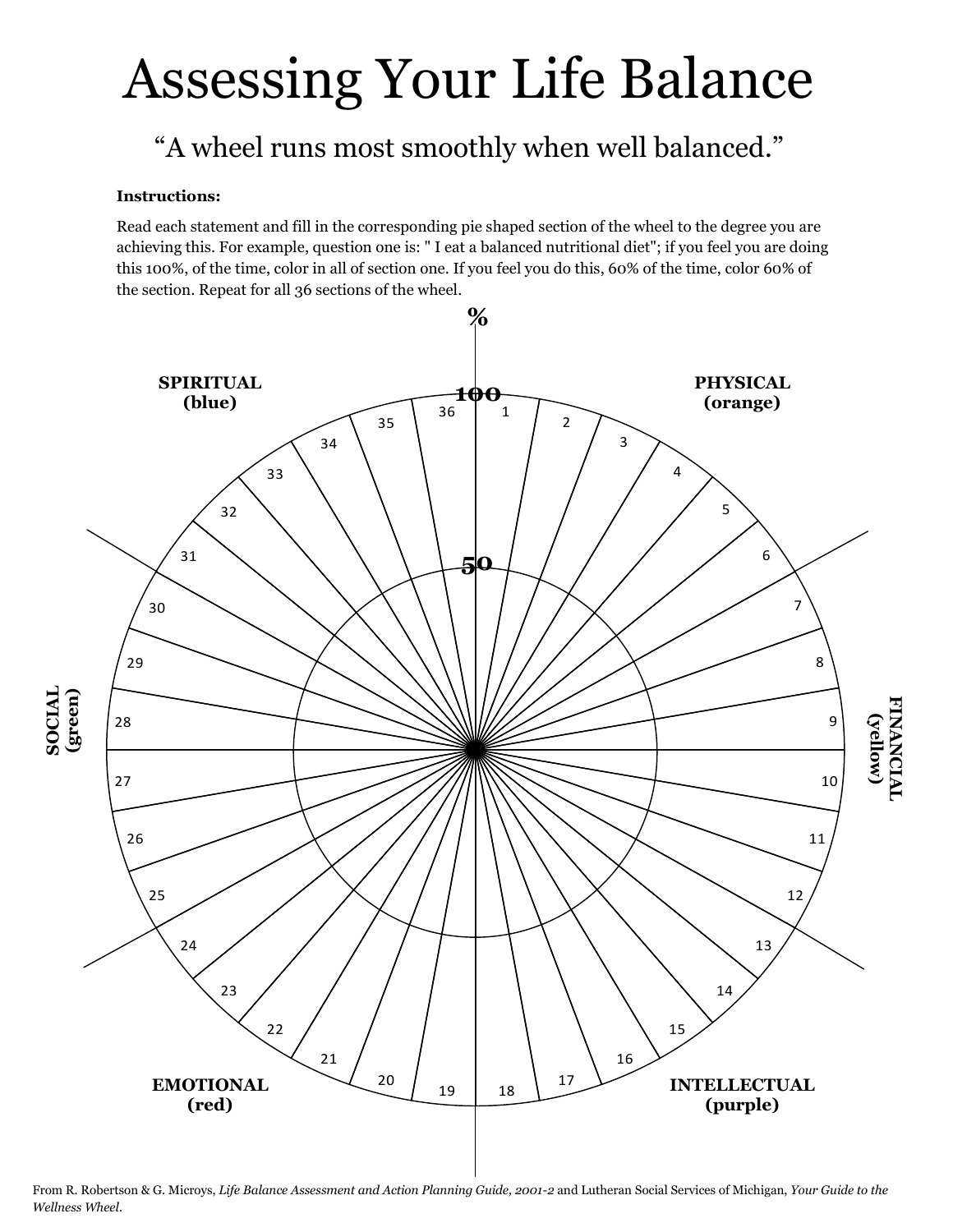# Assessing Your Life Balance

# "A wheel runs most smoothly when well balanced."

#### **Instructions:**

Read each statement and fill in the corresponding pie shaped section of the wheel to the degree you are achieving this. For example, question one is: " I eat a balanced nutritional diet"; if you feel you are doing this 100%, of the time, color in all of section one. If you feel you do this, 60% of the time, color 60% of the section. Repeat for all 36 sections of the wheel.



From R. Robertson & G. Microys, *Life Balance Assessment and Action Planning Guide, 2001-2* and Lutheran Social Services of Michigan, *Your Guide to the Wellness Wheel*.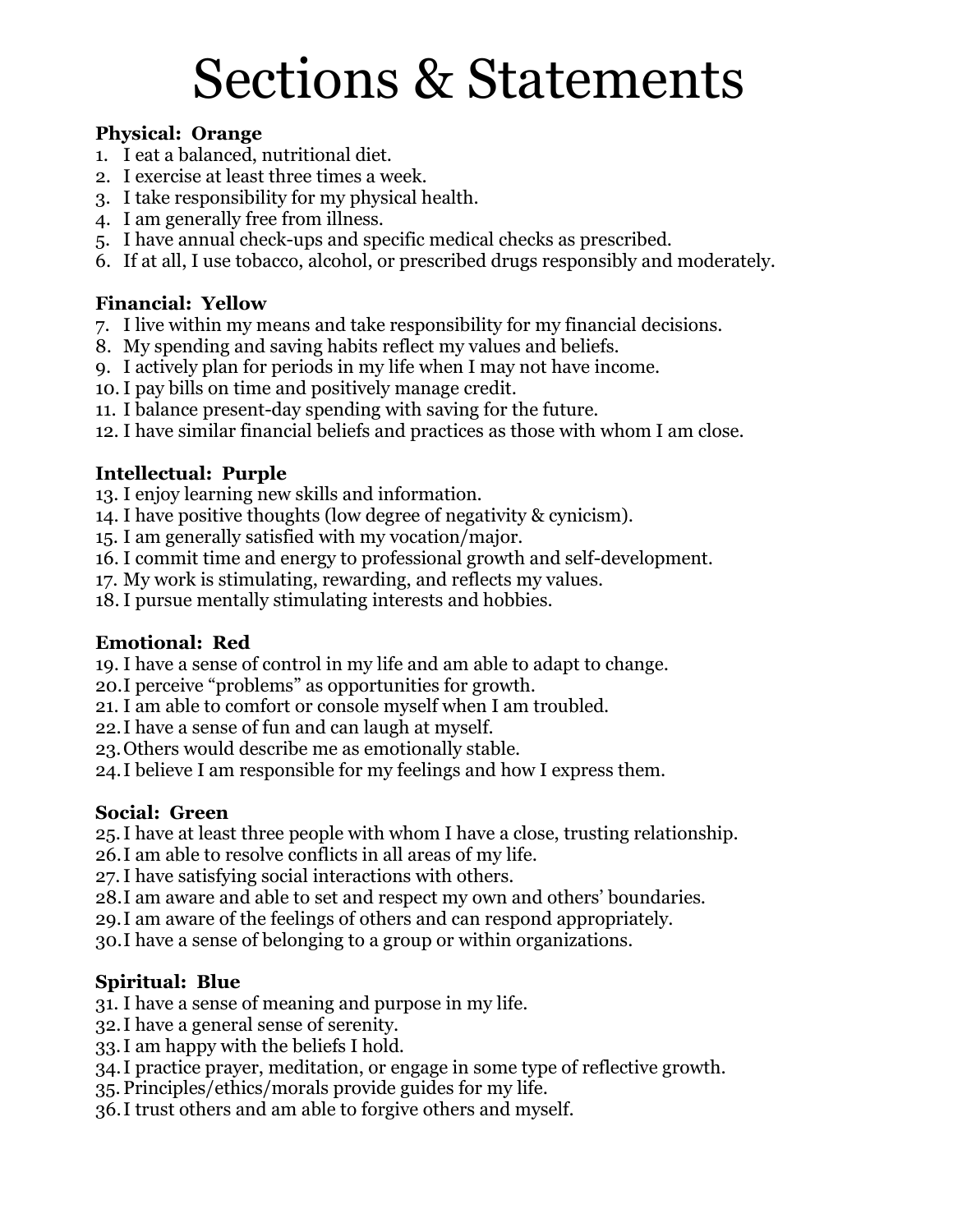# Sections & Statements

#### **Physical: Orange**

- 1. I eat a balanced, nutritional diet.
- 2. I exercise at least three times a week.
- 3. I take responsibility for my physical health.
- 4. I am generally free from illness.
- 5. I have annual check-ups and specific medical checks as prescribed.
- 6. If at all, I use tobacco, alcohol, or prescribed drugs responsibly and moderately.

### **Financial: Yellow**

- 7. I live within my means and take responsibility for my financial decisions.
- 8. My spending and saving habits reflect my values and beliefs.
- 9. I actively plan for periods in my life when I may not have income.
- 10.I pay bills on time and positively manage credit.
- 11. I balance present-day spending with saving for the future.
- 12. I have similar financial beliefs and practices as those with whom I am close.

## **Intellectual: Purple**

- 13. I enjoy learning new skills and information.
- 14. I have positive thoughts (low degree of negativity & cynicism).
- 15. I am generally satisfied with my vocation/major.
- 16. I commit time and energy to professional growth and self-development.
- 17. My work is stimulating, rewarding, and reflects my values.
- 18. I pursue mentally stimulating interests and hobbies.

#### **Emotional: Red**

- 19. I have a sense of control in my life and am able to adapt to change.
- 20.I perceive "problems" as opportunities for growth.
- 21. I am able to comfort or console myself when I am troubled.
- 22.I have a sense of fun and can laugh at myself.
- 23.Others would describe me as emotionally stable.
- 24.I believe I am responsible for my feelings and how I express them.

## **Social: Green**

25.I have at least three people with whom I have a close, trusting relationship.

- 26.I am able to resolve conflicts in all areas of my life.
- 27.I have satisfying social interactions with others.
- 28.I am aware and able to set and respect my own and others' boundaries.
- 29.I am aware of the feelings of others and can respond appropriately.
- 30.I have a sense of belonging to a group or within organizations.

## **Spiritual: Blue**

- 31. I have a sense of meaning and purpose in my life.
- 32.I have a general sense of serenity.
- 33.I am happy with the beliefs I hold.
- 34.I practice prayer, meditation, or engage in some type of reflective growth.
- 35.Principles/ethics/morals provide guides for my life.
- 36.I trust others and am able to forgive others and myself.